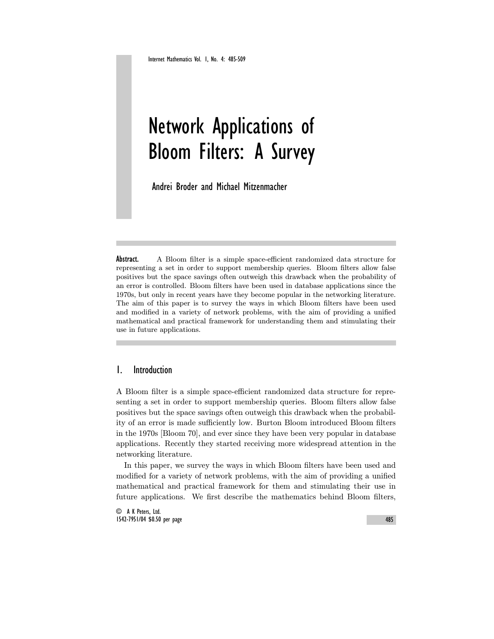# Network Applications of Bloom Filters: A Survey

Andrei Broder and Michael Mitzenmacher

**Abstract.** A Bloom filter is a simple space-efficient randomized data structure for representing a set in order to support membership queries. Bloom filters allow false positives but the space savings often outweigh this drawback when the probability of an error is controlled. Bloom filters have been used in database applications since the 1970s, but only in recent years have they become popular in the networking literature. The aim of this paper is to survey the ways in which Bloom filters have been used and modified in a variety of network problems, with the aim of providing a unified mathematical and practical framework for understanding them and stimulating their use in future applications.

# 1. Introduction

A Bloom filter is a simple space-efficient randomized data structure for representing a set in order to support membership queries. Bloom filters allow false positives but the space savings often outweigh this drawback when the probability of an error is made sufficiently low. Burton Bloom introduced Bloom filters in the 1970s [Bloom 70], and ever since they have been very popular in database applications. Recently they started receiving more widespread attention in the networking literature.

In this paper, we survey the ways in which Bloom filters have been used and modified for a variety of network problems, with the aim of providing a unified mathematical and practical framework for them and stimulating their use in future applications. We first describe the mathematics behind Bloom filters,

© A K Peters, Ltd. 1542-7951/04 \$0.50 per page 485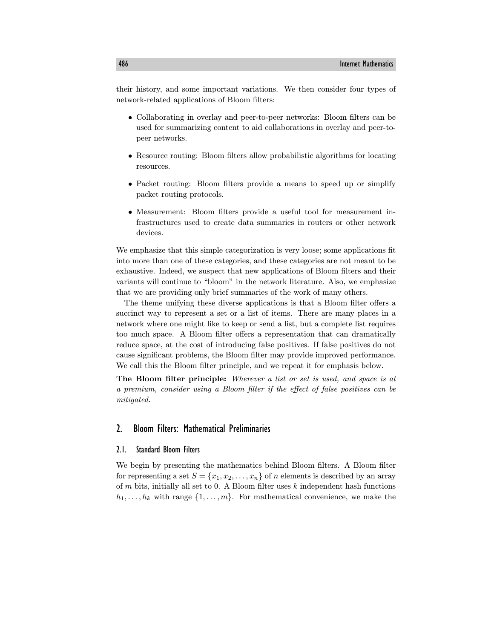their history, and some important variations. We then consider four types of network-related applications of Bloom filters:

- Collaborating in overlay and peer-to-peer networks: Bloom filters can be used for summarizing content to aid collaborations in overlay and peer-topeer networks.
- Resource routing: Bloom filters allow probabilistic algorithms for locating resources.
- Packet routing: Bloom filters provide a means to speed up or simplify packet routing protocols.
- Measurement: Bloom filters provide a useful tool for measurement infrastructures used to create data summaries in routers or other network devices.

We emphasize that this simple categorization is very loose; some applications fit into more than one of these categories, and these categories are not meant to be exhaustive. Indeed, we suspect that new applications of Bloom filters and their variants will continue to "bloom" in the network literature. Also, we emphasize that we are providing only brief summaries of the work of many others.

The theme unifying these diverse applications is that a Bloom filter offers a succinct way to represent a set or a list of items. There are many places in a network where one might like to keep or send a list, but a complete list requires too much space. A Bloom filter offers a representation that can dramatically reduce space, at the cost of introducing false positives. If false positives do not cause significant problems, the Bloom filter may provide improved performance. We call this the Bloom filter principle, and we repeat it for emphasis below.

The Bloom filter principle: Wherever a list or set is used, and space is at a premium, consider using a Bloom filter if the effect of false positives can be mitigated.

# 2. Bloom Filters: Mathematical Preliminaries

#### 2.1. Standard Bloom Filters

We begin by presenting the mathematics behind Bloom filters. A Bloom filter for representing a set  $S = \{x_1, x_2, \ldots, x_n\}$  of *n* elements is described by an array of  $m$  bits, initially all set to 0. A Bloom filter uses  $k$  independent hash functions  $h_1,\ldots,h_k$  with range  $\{1,\ldots,m\}$ . For mathematical convenience, we make the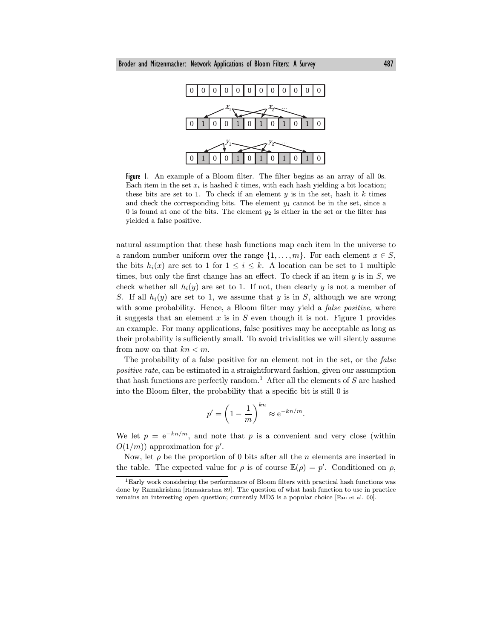

Figure 1. An example of a Bloom filter. The filter begins as an array of all 0s. Each item in the set  $x_i$  is hashed k times, with each hash yielding a bit location; these bits are set to 1. To check if an element  $y$  is in the set, hash it  $k$  times and check the corresponding bits. The element  $y_1$  cannot be in the set, since a 0 is found at one of the bits. The element  $y_2$  is either in the set or the filter has yielded a false positive.

natural assumption that these hash functions map each item in the universe to a random number uniform over the range  $\{1,\ldots,m\}$ . For each element  $x \in S$ , the bits  $h_i(x)$  are set to 1 for  $1 \leq i \leq k$ . A location can be set to 1 multiple times, but only the first change has an effect. To check if an item  $y$  is in  $S$ , we check whether all  $h_i(y)$  are set to 1. If not, then clearly y is not a member of S. If all  $h_i(y)$  are set to 1, we assume that y is in S, although we are wrong with some probability. Hence, a Bloom filter may yield a *false positive*, where it suggests that an element  $x$  is in  $S$  even though it is not. Figure 1 provides an example. For many applications, false positives may be acceptable as long as their probability is sufficiently small. To avoid trivialities we will silently assume from now on that  $kn < m$ .

The probability of a false positive for an element not in the set, or the *false* positive rate, can be estimated in a straightforward fashion, given our assumption that hash functions are perfectly random.<sup>1</sup> After all the elements of  $S$  are hashed into the Bloom filter, the probability that a specific bit is still 0 is

$$
p' = \left(1 - \frac{1}{m}\right)^{kn} \approx e^{-kn/m}.
$$

We let  $p = e^{-kn/m}$ , and note that p is a convenient and very close (within  $O(1/m)$  approximation for  $p'$ .

Now, let  $\rho$  be the proportion of 0 bits after all the *n* elements are inserted in the table. The expected value for  $\rho$  is of course  $\mathbb{E}(\rho) = p'$ . Conditioned on  $\rho$ ,

<sup>1</sup>Early work considering the performance of Bloom filters with practical hash functions was done by Ramakrishna [Ramakrishna 89]. The question of what hash function to use in practice remains an interesting open question; currently MD5 is a popular choice [Fan et al. 00].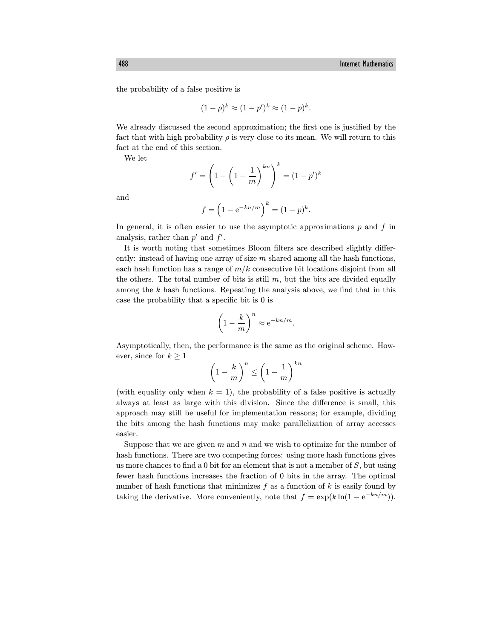the probability of a false positive is

$$
(1 - \rho)^k \approx (1 - p')^k \approx (1 - p)^k.
$$

We already discussed the second approximation; the first one is justified by the fact that with high probability  $\rho$  is very close to its mean. We will return to this fact at the end of this section.

We let

$$
f' = \left(1 - \left(1 - \frac{1}{m}\right)^{kn}\right)^k = (1 - p')^k
$$

and

$$
f = \left(1 - e^{-kn/m}\right)^k = (1 - p)^k.
$$

In general, it is often easier to use the asymptotic approximations  $p$  and  $f$  in analysis, rather than  $p'$  and  $f'$ .

It is worth noting that sometimes Bloom filters are described slightly differently: instead of having one array of size  $m$  shared among all the hash functions, each hash function has a range of  $m/k$  consecutive bit locations disjoint from all the others. The total number of bits is still  $m$ , but the bits are divided equally among the  $k$  hash functions. Repeating the analysis above, we find that in this case the probability that a specific bit is 0 is

$$
\left(1 - \frac{k}{m}\right)^n \approx e^{-kn/m}.
$$

Asymptotically, then, the performance is the same as the original scheme. However, since for  $k \geq 1$ 

$$
\left(1 - \frac{k}{m}\right)^n \le \left(1 - \frac{1}{m}\right)^{kn}
$$

(with equality only when  $k = 1$ ), the probability of a false positive is actually always at least as large with this division. Since the difference is small, this approach may still be useful for implementation reasons; for example, dividing the bits among the hash functions may make parallelization of array accesses easier.

Suppose that we are given  $m$  and  $n$  and we wish to optimize for the number of hash functions. There are two competing forces: using more hash functions gives us more chances to find a  $0$  bit for an element that is not a member of  $S$ , but using fewer hash functions increases the fraction of 0 bits in the array. The optimal number of hash functions that minimizes  $f$  as a function of  $k$  is easily found by taking the derivative. More conveniently, note that  $f = \exp(k \ln(1 - e^{-kn/m}))$ .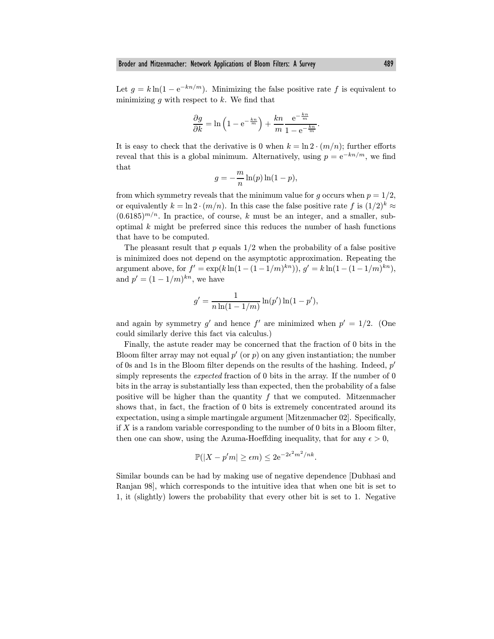Let  $q = k \ln(1 - e^{-kn/m})$ . Minimizing the false positive rate f is equivalent to minimizing q with respect to  $k$ . We find that

$$
\frac{\partial g}{\partial k} = \ln\left(1 - e^{-\frac{kn}{m}}\right) + \frac{kn}{m} \frac{e^{-\frac{kn}{m}}}{1 - e^{-\frac{kn}{m}}}.
$$

It is easy to check that the derivative is 0 when  $k = \ln 2 \cdot (m/n)$ ; further efforts reveal that this is a global minimum. Alternatively, using  $p = e^{-kn/m}$ , we find that

$$
g = -\frac{m}{n}\ln(p)\ln(1-p),
$$

from which symmetry reveals that the minimum value for g occurs when  $p = 1/2$ , or equivalently  $k = \ln 2 \cdot (m/n)$ . In this case the false positive rate f is  $(1/2)^k \approx$  $(0.6185)^{m/n}$ . In practice, of course, k must be an integer, and a smaller, suboptimal  $k$  might be preferred since this reduces the number of hash functions that have to be computed.

The pleasant result that  $p$  equals  $1/2$  when the probability of a false positive is minimized does not depend on the asymptotic approximation. Repeating the argument above, for  $f' = \exp(k \ln(1-(1-1/m)^{kn}))$ ,  $g' = k \ln(1-(1-1/m)^{kn})$ , and  $p' = (1 - 1/m)^{kn}$ , we have

$$
g' = \frac{1}{n \ln(1 - 1/m)} \ln(p') \ln(1 - p'),
$$

and again by symmetry g' and hence f' are minimized when  $p' = 1/2$ . (One could similarly derive this fact via calculus.)

Finally, the astute reader may be concerned that the fraction of 0 bits in the Bloom filter array may not equal  $p'$  (or  $p$ ) on any given instantiation; the number of 0s and 1s in the Bloom filter depends on the results of the hashing. Indeed,  $p'$ simply represents the *expected* fraction of 0 bits in the array. If the number of 0 bits in the array is substantially less than expected, then the probability of a false positive will be higher than the quantity  $f$  that we computed. Mitzenmacher shows that, in fact, the fraction of 0 bits is extremely concentrated around its expectation, using a simple martingale argument [Mitzenmacher 02]. Specifically, if  $X$  is a random variable corresponding to the number of 0 bits in a Bloom filter, then one can show, using the Azuma-Hoeffding inequality, that for any  $\epsilon > 0$ ,

$$
\mathbb{P}(|X - p'm| \ge \epsilon m) \le 2e^{-2\epsilon^2 m^2/nk}.
$$

Similar bounds can be had by making use of negative dependence [Dubhasi and Ranjan 98], which corresponds to the intuitive idea that when one bit is set to 1, it (slightly) lowers the probability that every other bit is set to 1. Negative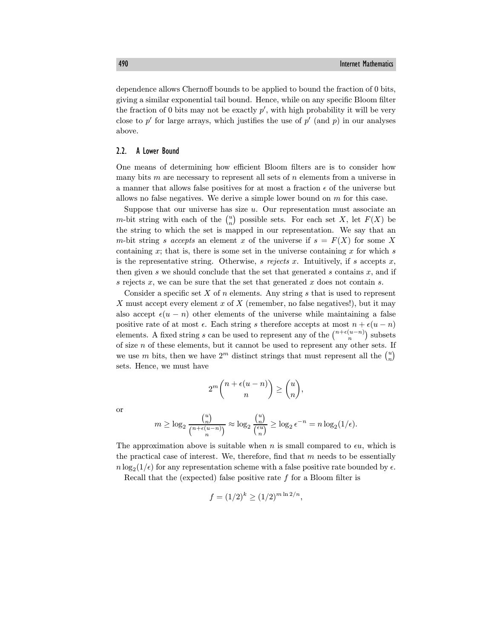dependence allows Chernoff bounds to be applied to bound the fraction of 0 bits, giving a similar exponential tail bound. Hence, while on any specific Bloom filter the fraction of 0 bits may not be exactly  $p'$ , with high probability it will be very close to p' for large arrays, which justifies the use of  $p'$  (and p) in our analyses above.

## 2.2. A Lower Bound

One means of determining how efficient Bloom filters are is to consider how many bits  $m$  are necessary to represent all sets of  $n$  elements from a universe in a manner that allows false positives for at most a fraction  $\epsilon$  of the universe but allows no false negatives. We derive a simple lower bound on  $m$  for this case.

Suppose that our universe has size  $u$ . Our representation must associate an m-bit string with each of the  $\binom{u}{n}$  possible sets. For each set X, let  $F(X)$  be the string to which the set is mapped in our representation. We say that an m-bit string s accepts an element x of the universe if  $s = F(X)$  for some X containing x; that is, there is some set in the universe containing x for which s is the representative string. Otherwise, s rejects x. Intuitively, if s accepts x, then given s we should conclude that the set that generated s contains  $x$ , and if s rejects  $x$ , we can be sure that the set that generated  $x$  does not contain s.

Consider a specific set  $X$  of  $n$  elements. Any string  $s$  that is used to represent X must accept every element x of X (remember, no false negatives!), but it may also accept  $\epsilon(u - n)$  other elements of the universe while maintaining a false positive rate of at most  $\epsilon$ . Each string s therefore accepts at most  $n + \epsilon(u - n)$ elements. A fixed string s can be used to represent any of the  $\binom{n+\epsilon(u-n)}{n}$  subsets of size  $n$  of these elements, but it cannot be used to represent any other sets. If we use m bits, then we have  $2^m$  distinct strings that must represent all the  $\binom{u}{n}$ sets. Hence, we must have

$$
2^m\binom{n+\epsilon(u-n)}{n}\geq \binom{u}{n},
$$

or

$$
m \geq \log_2 \frac{\binom{u}{n}}{\binom{n+\epsilon(u-n)}{n}} \approx \log_2 \frac{\binom{u}{n}}{\binom{\epsilon u}{n}} \geq \log_2 \epsilon^{-n} = n \log_2(1/\epsilon).
$$

The approximation above is suitable when n is small compared to  $\epsilon u$ , which is the practical case of interest. We, therefore, find that  $m$  needs to be essentially  $n \log_2(1/\epsilon)$  for any representation scheme with a false positive rate bounded by  $\epsilon$ .

Recall that the (expected) false positive rate  $f$  for a Bloom filter is

$$
f = (1/2)^k \ge (1/2)^{m \ln 2/n},
$$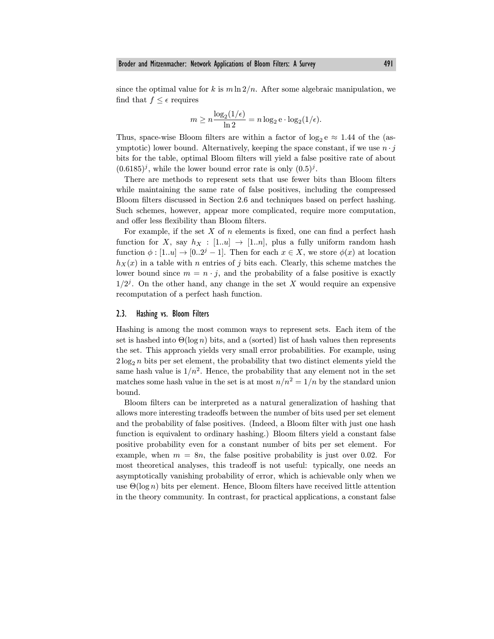since the optimal value for k is  $m \ln 2/n$ . After some algebraic manipulation, we find that  $f \leq \epsilon$  requires

$$
m \ge n \frac{\log_2(1/\epsilon)}{\ln 2} = n \log_2 e \cdot \log_2(1/\epsilon).
$$

Thus, space-wise Bloom filters are within a factor of  $\log_2 e \approx 1.44$  of the (asymptotic) lower bound. Alternatively, keeping the space constant, if we use  $n \cdot j$ bits for the table, optimal Bloom filters will yield a false positive rate of about  $(0.6185)^j$ , while the lower bound error rate is only  $(0.5)^j$ .

There are methods to represent sets that use fewer bits than Bloom filters while maintaining the same rate of false positives, including the compressed Bloom filters discussed in Section 2.6 and techniques based on perfect hashing. Such schemes, however, appear more complicated, require more computation, and offer less flexibility than Bloom filters.

For example, if the set  $X$  of n elements is fixed, one can find a perfect hash function for X, say  $h_X : [1..u] \rightarrow [1..n]$ , plus a fully uniform random hash function  $\phi : [1..u] \to [0..2^j-1]$ . Then for each  $x \in X$ , we store  $\phi(x)$  at location  $h_X(x)$  in a table with n entries of j bits each. Clearly, this scheme matches the lower bound since  $m = n \cdot j$ , and the probability of a false positive is exactly  $1/2<sup>j</sup>$ . On the other hand, any change in the set X would require an expensive recomputation of a perfect hash function.

## 2.3. Hashing vs. Bloom Filters

Hashing is among the most common ways to represent sets. Each item of the set is hashed into  $\Theta(\log n)$  bits, and a (sorted) list of hash values then represents the set. This approach yields very small error probabilities. For example, using  $2 \log_2 n$  bits per set element, the probability that two distinct elements yield the same hash value is  $1/n^2$ . Hence, the probability that any element not in the set matches some hash value in the set is at most  $n/n^2 = 1/n$  by the standard union bound.

Bloom filters can be interpreted as a natural generalization of hashing that allows more interesting tradeoffs between the number of bits used per set element and the probability of false positives. (Indeed, a Bloom filter with just one hash function is equivalent to ordinary hashing.) Bloom filters yield a constant false positive probability even for a constant number of bits per set element. For example, when  $m = 8n$ , the false positive probability is just over 0.02. For most theoretical analyses, this tradeoff is not useful: typically, one needs an asymptotically vanishing probability of error, which is achievable only when we use  $\Theta(\log n)$  bits per element. Hence, Bloom filters have received little attention in the theory community. In contrast, for practical applications, a constant false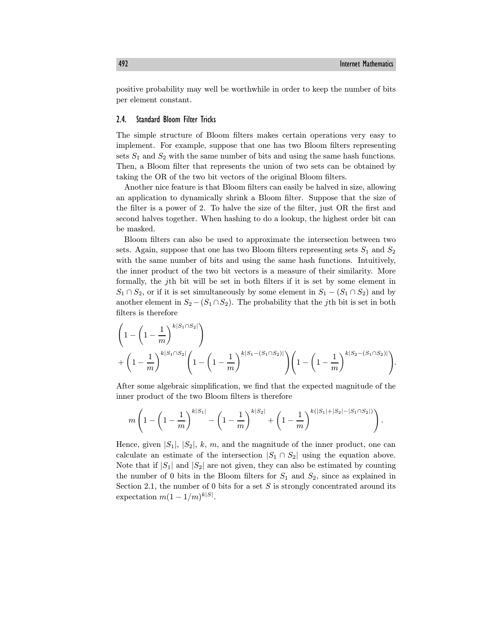positive probability may well be worthwhile in order to keep the number of bits per element constant.

#### 2.4. Standard Bloom Filter Tricks

The simple structure of Bloom filters makes certain operations very easy to implement. For example, suppose that one has two Bloom filters representing sets  $S_1$  and  $S_2$  with the same number of bits and using the same hash functions. Then, a Bloom filter that represents the union of two sets can be obtained by taking the OR of the two bit vectors of the original Bloom filters.

Another nice feature is that Bloom filters can easily be halved in size, allowing an application to dynamically shrink a Bloom filter. Suppose that the size of the filter is a power of 2. To halve the size of the filter, just OR the first and second halves together. When hashing to do a lookup, the highest order bit can be masked.

Bloom filters can also be used to approximate the intersection between two sets. Again, suppose that one has two Bloom filters representing sets  $S_1$  and  $S_2$ with the same number of bits and using the same hash functions. Intuitively, the inner product of the two bit vectors is a measure of their similarity. More formally, the jth bit will be set in both filters if it is set by some element in  $S_1 \cap S_2$ , or if it is set simultaneously by some element in  $S_1 - (S_1 \cap S_2)$  and by another element in  $S_2 - (S_1 \cap S_2)$ . The probability that the jth bit is set in both filters is therefore

$$
\begin{aligned}&\left(1-\left(1-\frac{1}{m}\right)^{k|S_1\cap S_2|}\right)\\&+\left(1-\frac{1}{m}\right)^{k|S_1\cap S_2|}\left(1-\left(1-\frac{1}{m}\right)^{k|S_1-(S_1\cap S_2)|}\right)\left(1-\left(1-\frac{1}{m}\right)^{k|S_2-(S_1\cap S_2)|}\right)\end{aligned}
$$

After some algebraic simplification, we find that the expected magnitude of the inner product of the two Bloom filters is therefore

$$
m\left(1-\left(1-\frac{1}{m}\right)^{k|S_1|}-\left(1-\frac{1}{m}\right)^{k|S_2|}+\left(1-\frac{1}{m}\right)^{k(|S_1|+|S_2|-|S_1\cap S_2|)}\right).
$$

Hence, given  $|S_1|, |S_2|, k, m$ , and the magnitude of the inner product, one can calculate an estimate of the intersection  $|S_1 \cap S_2|$  using the equation above. Note that if  $|S_1|$  and  $|S_2|$  are not given, they can also be estimated by counting the number of 0 bits in the Bloom filters for  $S_1$  and  $S_2$ , since as explained in Section 2.1, the number of 0 bits for a set  $S$  is strongly concentrated around its expectation  $m(1-1/m)^{k|S|}$ .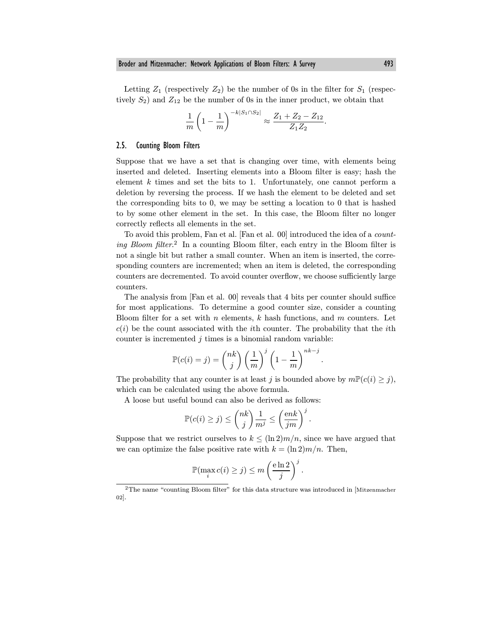Letting  $Z_1$  (respectively  $Z_2$ ) be the number of 0s in the filter for  $S_1$  (respectively  $S_2$ ) and  $Z_{12}$  be the number of 0s in the inner product, we obtain that

$$
\frac{1}{m}\left(1-\frac{1}{m}\right)^{-k|S_1\cap S_2|} \approx \frac{Z_1+Z_2-Z_{12}}{Z_1Z_2}.
$$

#### 2.5. Counting Bloom Filters

Suppose that we have a set that is changing over time, with elements being inserted and deleted. Inserting elements into a Bloom filter is easy; hash the element  $k$  times and set the bits to 1. Unfortunately, one cannot perform a deletion by reversing the process. If we hash the element to be deleted and set the corresponding bits to 0, we may be setting a location to 0 that is hashed to by some other element in the set. In this case, the Bloom filter no longer correctly reflects all elements in the set.

To avoid this problem, Fan et al. [Fan et al. 00] introduced the idea of a counting Bloom filter.<sup>2</sup> In a counting Bloom filter, each entry in the Bloom filter is not a single bit but rather a small counter. When an item is inserted, the corresponding counters are incremented; when an item is deleted, the corresponding counters are decremented. To avoid counter overflow, we choose sufficiently large counters.

The analysis from [Fan et al. 00] reveals that 4 bits per counter should suffice for most applications. To determine a good counter size, consider a counting Bloom filter for a set with  $n$  elements,  $k$  hash functions, and  $m$  counters. Let  $c(i)$  be the count associated with the *i*th counter. The probability that the *i*th counter is incremented  $j$  times is a binomial random variable:

$$
\mathbb{P}(c(i) = j) = {nk \choose j} \left(\frac{1}{m}\right)^j \left(1 - \frac{1}{m}\right)^{nk - j}.
$$

The probability that any counter is at least j is bounded above by  $m\mathbb{P}(c(i) \geq j)$ , which can be calculated using the above formula.

A loose but useful bound can also be derived as follows:

$$
\mathbb{P}(c(i) \ge j) \le {nk \choose j} \frac{1}{m^j} \le \left(\frac{enk}{jm}\right)^j.
$$

Suppose that we restrict ourselves to  $k \leq (\ln 2)m/n$ , since we have argued that we can optimize the false positive rate with  $k = (\ln 2)m/n$ . Then,

$$
\mathbb{P}(\max_{i} c(i) \geq j) \leq m \left(\frac{e \ln 2}{j}\right)^j.
$$

<sup>&</sup>lt;sup>2</sup>The name "counting Bloom filter" for this data structure was introduced in [Mitzenmacher 02].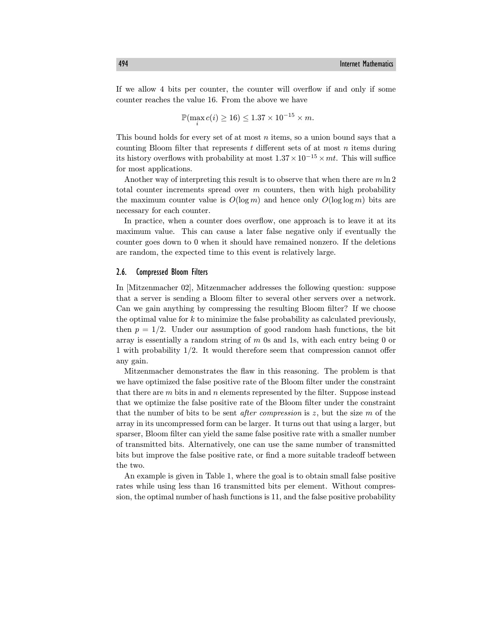If we allow 4 bits per counter, the counter will overflow if and only if some counter reaches the value 16. From the above we have

$$
\mathbb{P}(\max_i c(i) \ge 16) \le 1.37 \times 10^{-15} \times m.
$$

This bound holds for every set of at most  $n$  items, so a union bound says that a counting Bloom filter that represents  $t$  different sets of at most  $n$  items during its history overflows with probability at most  $1.37 \times 10^{-15} \times mt$ . This will suffice for most applications.

Another way of interpreting this result is to observe that when there are  $m \ln 2$ total counter increments spread over  $m$  counters, then with high probability the maximum counter value is  $O(\log m)$  and hence only  $O(\log \log m)$  bits are necessary for each counter.

In practice, when a counter does overflow, one approach is to leave it at its maximum value. This can cause a later false negative only if eventually the counter goes down to 0 when it should have remained nonzero. If the deletions are random, the expected time to this event is relatively large.

#### 2.6. Compressed Bloom Filters

In [Mitzenmacher 02], Mitzenmacher addresses the following question: suppose that a server is sending a Bloom filter to several other servers over a network. Can we gain anything by compressing the resulting Bloom filter? If we choose the optimal value for  $k$  to minimize the false probability as calculated previously, then  $p = 1/2$ . Under our assumption of good random hash functions, the bit array is essentially a random string of  $m$  0s and 1s, with each entry being 0 or 1 with probability 1/2. It would therefore seem that compression cannot offer any gain.

Mitzenmacher demonstrates the flaw in this reasoning. The problem is that we have optimized the false positive rate of the Bloom filter under the constraint that there are  $m$  bits in and  $n$  elements represented by the filter. Suppose instead that we optimize the false positive rate of the Bloom filter under the constraint that the number of bits to be sent *after compression* is  $z$ , but the size  $m$  of the array in its uncompressed form can be larger. It turns out that using a larger, but sparser, Bloom filter can yield the same false positive rate with a smaller number of transmitted bits. Alternatively, one can use the same number of transmitted bits but improve the false positive rate, or find a more suitable tradeoff between the two.

An example is given in Table 1, where the goal is to obtain small false positive rates while using less than 16 transmitted bits per element. Without compression, the optimal number of hash functions is 11, and the false positive probability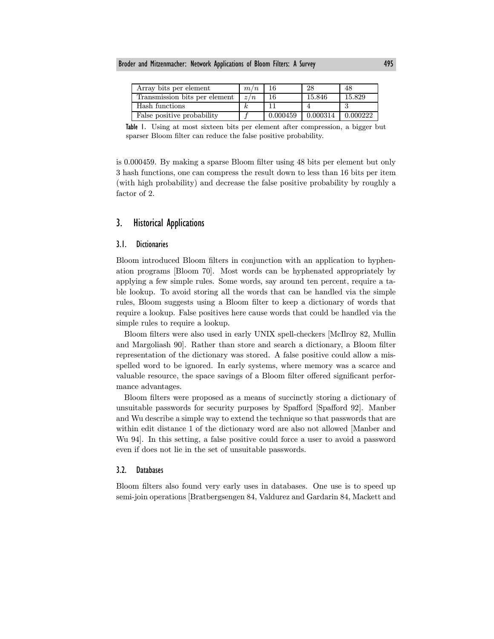| Array bits per element        | m/n | -16      | 28               | 48               |
|-------------------------------|-----|----------|------------------|------------------|
| Transmission bits per element | z/n |          | 15.846           | 15.829           |
| Hash functions                |     |          |                  |                  |
| False positive probability    |     | 0.000459 | $\big  0.000314$ | $\big  0.000222$ |

Table 1. Using at most sixteen bits per element after compression, a bigger but sparser Bloom filter can reduce the false positive probability.

is 0.000459. By making a sparse Bloom filter using 48 bits per element but only 3 hash functions, one can compress the result down to less than 16 bits per item (with high probability) and decrease the false positive probability by roughly a factor of 2.

# 3. Historical Applications

## 3.1. Dictionaries

Bloom introduced Bloom filters in conjunction with an application to hyphenation programs [Bloom 70]. Most words can be hyphenated appropriately by applying a few simple rules. Some words, say around ten percent, require a table lookup. To avoid storing all the words that can be handled via the simple rules, Bloom suggests using a Bloom filter to keep a dictionary of words that require a lookup. False positives here cause words that could be handled via the simple rules to require a lookup.

Bloom filters were also used in early UNIX spell-checkers [McIlroy 82, Mullin and Margoliash 90]. Rather than store and search a dictionary, a Bloom filter representation of the dictionary was stored. A false positive could allow a misspelled word to be ignored. In early systems, where memory was a scarce and valuable resource, the space savings of a Bloom filter offered significant performance advantages.

Bloom filters were proposed as a means of succinctly storing a dictionary of unsuitable passwords for security purposes by Spafford [Spafford 92]. Manber and Wu describe a simple way to extend the technique so that passwords that are within edit distance 1 of the dictionary word are also not allowed [Manber and Wu 94]. In this setting, a false positive could force a user to avoid a password even if does not lie in the set of unsuitable passwords.

## 3.2. Databases

Bloom filters also found very early uses in databases. One use is to speed up semi-join operations [Bratbergsengen 84, Valdurez and Gardarin 84, Mackett and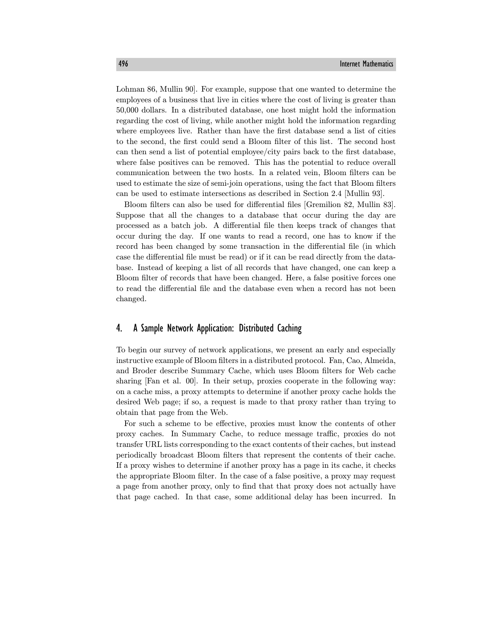Lohman 86, Mullin 90]. For example, suppose that one wanted to determine the employees of a business that live in cities where the cost of living is greater than 50,000 dollars. In a distributed database, one host might hold the information regarding the cost of living, while another might hold the information regarding where employees live. Rather than have the first database send a list of cities to the second, the first could send a Bloom filter of this list. The second host can then send a list of potential employee/city pairs back to the first database, where false positives can be removed. This has the potential to reduce overall communication between the two hosts. In a related vein, Bloom filters can be used to estimate the size of semi-join operations, using the fact that Bloom filters can be used to estimate intersections as described in Section 2.4 [Mullin 93].

Bloom filters can also be used for differential files [Gremilion 82, Mullin 83]. Suppose that all the changes to a database that occur during the day are processed as a batch job. A differential file then keeps track of changes that occur during the day. If one wants to read a record, one has to know if the record has been changed by some transaction in the differential file (in which case the differential file must be read) or if it can be read directly from the database. Instead of keeping a list of all records that have changed, one can keep a Bloom filter of records that have been changed. Here, a false positive forces one to read the differential file and the database even when a record has not been changed.

# 4. A Sample Network Application: Distributed Caching

To begin our survey of network applications, we present an early and especially instructive example of Bloom filters in a distributed protocol. Fan, Cao, Almeida, and Broder describe Summary Cache, which uses Bloom filters for Web cache sharing [Fan et al. 00]. In their setup, proxies cooperate in the following way: on a cache miss, a proxy attempts to determine if another proxy cache holds the desired Web page; if so, a request is made to that proxy rather than trying to obtain that page from the Web.

For such a scheme to be effective, proxies must know the contents of other proxy caches. In Summary Cache, to reduce message traffic, proxies do not transfer URL lists corresponding to the exact contents of their caches, but instead periodically broadcast Bloom filters that represent the contents of their cache. If a proxy wishes to determine if another proxy has a page in its cache, it checks the appropriate Bloom filter. In the case of a false positive, a proxy may request a page from another proxy, only to find that that proxy does not actually have that page cached. In that case, some additional delay has been incurred. In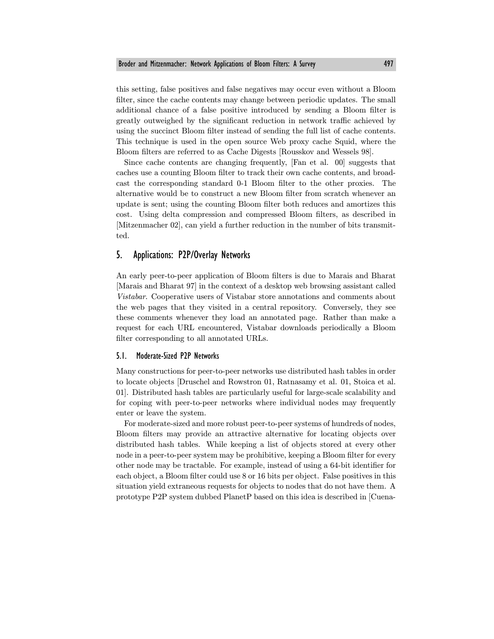this setting, false positives and false negatives may occur even without a Bloom filter, since the cache contents may change between periodic updates. The small additional chance of a false positive introduced by sending a Bloom filter is greatly outweighed by the significant reduction in network traffic achieved by using the succinct Bloom filter instead of sending the full list of cache contents. This technique is used in the open source Web proxy cache Squid, where the Bloom filters are referred to as Cache Digests [Rousskov and Wessels 98].

Since cache contents are changing frequently, [Fan et al. 00] suggests that caches use a counting Bloom filter to track their own cache contents, and broadcast the corresponding standard 0-1 Bloom filter to the other proxies. The alternative would be to construct a new Bloom filter from scratch whenever an update is sent; using the counting Bloom filter both reduces and amortizes this cost. Using delta compression and compressed Bloom filters, as described in [Mitzenmacher 02], can yield a further reduction in the number of bits transmitted.

# 5. Applications: P2P/Overlay Networks

An early peer-to-peer application of Bloom filters is due to Marais and Bharat [Marais and Bharat 97] in the context of a desktop web browsing assistant called Vistabar. Cooperative users of Vistabar store annotations and comments about the web pages that they visited in a central repository. Conversely, they see these comments whenever they load an annotated page. Rather than make a request for each URL encountered, Vistabar downloads periodically a Bloom filter corresponding to all annotated URLs.

#### 5.1. Moderate-Sized P2P Networks

Many constructions for peer-to-peer networks use distributed hash tables in order to locate objects [Druschel and Rowstron 01, Ratnasamy et al. 01, Stoica et al. 01]. Distributed hash tables are particularly useful for large-scale scalability and for coping with peer-to-peer networks where individual nodes may frequently enter or leave the system.

For moderate-sized and more robust peer-to-peer systems of hundreds of nodes, Bloom filters may provide an attractive alternative for locating objects over distributed hash tables. While keeping a list of objects stored at every other node in a peer-to-peer system may be prohibitive, keeping a Bloom filter for every other node may be tractable. For example, instead of using a 64-bit identifier for each object, a Bloom filter could use 8 or 16 bits per object. False positives in this situation yield extraneous requests for objects to nodes that do not have them. A prototype P2P system dubbed PlanetP based on this idea is described in [Cuena-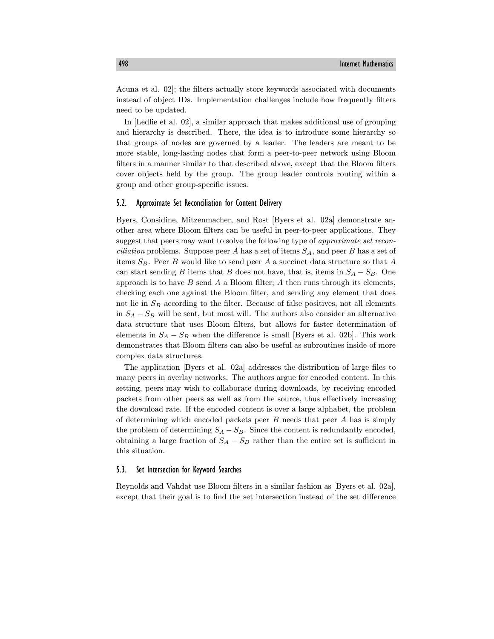Acuna et al. 02]; the filters actually store keywords associated with documents instead of object IDs. Implementation challenges include how frequently filters need to be updated.

In [Ledlie et al. 02], a similar approach that makes additional use of grouping and hierarchy is described. There, the idea is to introduce some hierarchy so that groups of nodes are governed by a leader. The leaders are meant to be more stable, long-lasting nodes that form a peer-to-peer network using Bloom filters in a manner similar to that described above, except that the Bloom filters cover objects held by the group. The group leader controls routing within a group and other group-specific issues.

#### 5.2. Approximate Set Reconciliation for Content Delivery

Byers, Considine, Mitzenmacher, and Rost [Byers et al. 02a] demonstrate another area where Bloom filters can be useful in peer-to-peer applications. They suggest that peers may want to solve the following type of approximate set recon*ciliation* problems. Suppose peer A has a set of items  $S_A$ , and peer B has a set of items  $S_B$ . Peer B would like to send peer A a succinct data structure so that A can start sending B items that B does not have, that is, items in  $S_A - S_B$ . One approach is to have  $B$  send  $A$  a Bloom filter;  $A$  then runs through its elements, checking each one against the Bloom filter, and sending any element that does not lie in  $S_B$  according to the filter. Because of false positives, not all elements in  $S_A - S_B$  will be sent, but most will. The authors also consider an alternative data structure that uses Bloom filters, but allows for faster determination of elements in  $S_A - S_B$  when the difference is small [Byers et al. 02b]. This work demonstrates that Bloom filters can also be useful as subroutines inside of more complex data structures.

The application [Byers et al. 02a] addresses the distribution of large files to many peers in overlay networks. The authors argue for encoded content. In this setting, peers may wish to collaborate during downloads, by receiving encoded packets from other peers as well as from the source, thus effectively increasing the download rate. If the encoded content is over a large alphabet, the problem of determining which encoded packets peer  $B$  needs that peer  $A$  has is simply the problem of determining  $S_A - S_B$ . Since the content is redundantly encoded, obtaining a large fraction of  $S_A - S_B$  rather than the entire set is sufficient in this situation.

#### 5.3. Set Intersection for Keyword Searches

Reynolds and Vahdat use Bloom filters in a similar fashion as [Byers et al. 02a], except that their goal is to find the set intersection instead of the set difference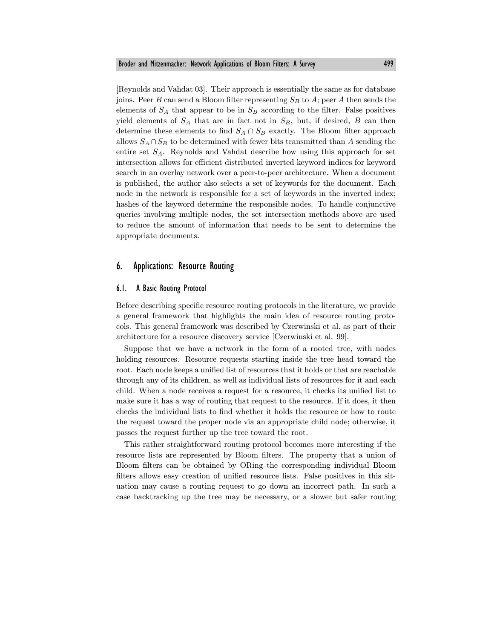[Reynolds and Vahdat 03]. Their approach is essentially the same as for database joins. Peer B can send a Bloom filter representing  $S_B$  to A; peer A then sends the elements of  $S_A$  that appear to be in  $S_B$  according to the filter. False positives yield elements of  $S_A$  that are in fact not in  $S_B$ , but, if desired, B can then determine these elements to find  $S_A \cap S_B$  exactly. The Bloom filter approach allows  $S_A \cap S_B$  to be determined with fewer bits transmitted than A sending the entire set  $S_A$ . Reynolds and Vahdat describe how using this approach for set intersection allows for efficient distributed inverted keyword indices for keyword search in an overlay network over a peer-to-peer architecture. When a document is published, the author also selects a set of keywords for the document. Each node in the network is responsible for a set of keywords in the inverted index; hashes of the keyword determine the responsible nodes. To handle conjunctive queries involving multiple nodes, the set intersection methods above are used to reduce the amount of information that needs to be sent to determine the appropriate documents.

## 6. Applications: Resource Routing

## 6.1. A Basic Routing Protocol

Before describing specific resource routing protocols in the literature, we provide a general framework that highlights the main idea of resource routing protocols. This general framework was described by Czerwinski et al. as part of their architecture for a resource discovery service [Czerwinski et al. 99].

Suppose that we have a network in the form of a rooted tree, with nodes holding resources. Resource requests starting inside the tree head toward the root. Each node keeps a unified list of resources that it holds or that are reachable through any of its children, as well as individual lists of resources for it and each child. When a node receives a request for a resource, it checks its unified list to make sure it has a way of routing that request to the resource. If it does, it then checks the individual lists to find whether it holds the resource or how to route the request toward the proper node via an appropriate child node; otherwise, it passes the request further up the tree toward the root.

This rather straightforward routing protocol becomes more interesting if the resource lists are represented by Bloom filters. The property that a union of Bloom filters can be obtained by ORing the corresponding individual Bloom filters allows easy creation of unified resource lists. False positives in this situation may cause a routing request to go down an incorrect path. In such a case backtracking up the tree may be necessary, or a slower but safer routing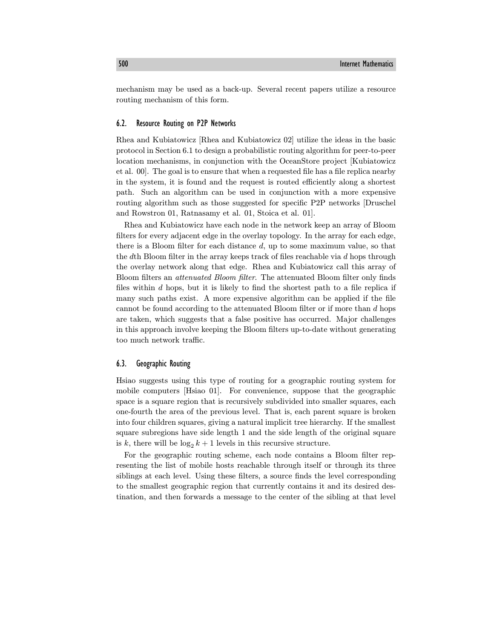mechanism may be used as a back-up. Several recent papers utilize a resource routing mechanism of this form.

#### 6.2. Resource Routing on P2P Networks

Rhea and Kubiatowicz [Rhea and Kubiatowicz 02] utilize the ideas in the basic protocol in Section 6.1 to design a probabilistic routing algorithm for peer-to-peer location mechanisms, in conjunction with the OceanStore project [Kubiatowicz et al. 00]. The goal is to ensure that when a requested file has a file replica nearby in the system, it is found and the request is routed efficiently along a shortest path. Such an algorithm can be used in conjunction with a more expensive routing algorithm such as those suggested for specific P2P networks [Druschel and Rowstron 01, Ratnasamy et al. 01, Stoica et al. 01].

Rhea and Kubiatowicz have each node in the network keep an array of Bloom filters for every adjacent edge in the overlay topology. In the array for each edge, there is a Bloom filter for each distance d, up to some maximum value, so that the dth Bloom filter in the array keeps track of files reachable via d hops through the overlay network along that edge. Rhea and Kubiatowicz call this array of Bloom filters an attenuated Bloom filter. The attenuated Bloom filter only finds files within  $d$  hops, but it is likely to find the shortest path to a file replica if many such paths exist. A more expensive algorithm can be applied if the file cannot be found according to the attenuated Bloom filter or if more than d hops are taken, which suggests that a false positive has occurred. Major challenges in this approach involve keeping the Bloom filters up-to-date without generating too much network traffic.

## 6.3. Geographic Routing

Hsiao suggests using this type of routing for a geographic routing system for mobile computers [Hsiao 01]. For convenience, suppose that the geographic space is a square region that is recursively subdivided into smaller squares, each one-fourth the area of the previous level. That is, each parent square is broken into four children squares, giving a natural implicit tree hierarchy. If the smallest square subregions have side length 1 and the side length of the original square is k, there will be  $\log_2 k + 1$  levels in this recursive structure.

For the geographic routing scheme, each node contains a Bloom filter representing the list of mobile hosts reachable through itself or through its three siblings at each level. Using these filters, a source finds the level corresponding to the smallest geographic region that currently contains it and its desired destination, and then forwards a message to the center of the sibling at that level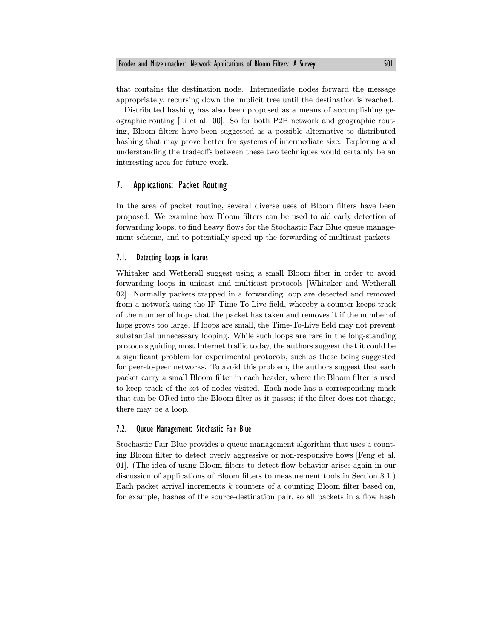that contains the destination node. Intermediate nodes forward the message appropriately, recursing down the implicit tree until the destination is reached.

Distributed hashing has also been proposed as a means of accomplishing geographic routing [Li et al. 00]. So for both P2P network and geographic routing, Bloom filters have been suggested as a possible alternative to distributed hashing that may prove better for systems of intermediate size. Exploring and understanding the tradeoffs between these two techniques would certainly be an interesting area for future work.

# 7. Applications: Packet Routing

In the area of packet routing, several diverse uses of Bloom filters have been proposed. We examine how Bloom filters can be used to aid early detection of forwarding loops, to find heavy flows for the Stochastic Fair Blue queue management scheme, and to potentially speed up the forwarding of multicast packets.

#### 7.1. Detecting Loops in Icarus

Whitaker and Wetherall suggest using a small Bloom filter in order to avoid forwarding loops in unicast and multicast protocols [Whitaker and Wetherall 02]. Normally packets trapped in a forwarding loop are detected and removed from a network using the IP Time-To-Live field, whereby a counter keeps track of the number of hops that the packet has taken and removes it if the number of hops grows too large. If loops are small, the Time-To-Live field may not prevent substantial unnecessary looping. While such loops are rare in the long-standing protocols guiding most Internet traffic today, the authors suggest that it could be a significant problem for experimental protocols, such as those being suggested for peer-to-peer networks. To avoid this problem, the authors suggest that each packet carry a small Bloom filter in each header, where the Bloom filter is used to keep track of the set of nodes visited. Each node has a corresponding mask that can be ORed into the Bloom filter as it passes; if the filter does not change, there may be a loop.

#### 7.2. Queue Management: Stochastic Fair Blue

Stochastic Fair Blue provides a queue management algorithm that uses a counting Bloom filter to detect overly aggressive or non-responsive flows [Feng et al. 01]. (The idea of using Bloom filters to detect flow behavior arises again in our discussion of applications of Bloom filters to measurement tools in Section 8.1.) Each packet arrival increments  $k$  counters of a counting Bloom filter based on, for example, hashes of the source-destination pair, so all packets in a flow hash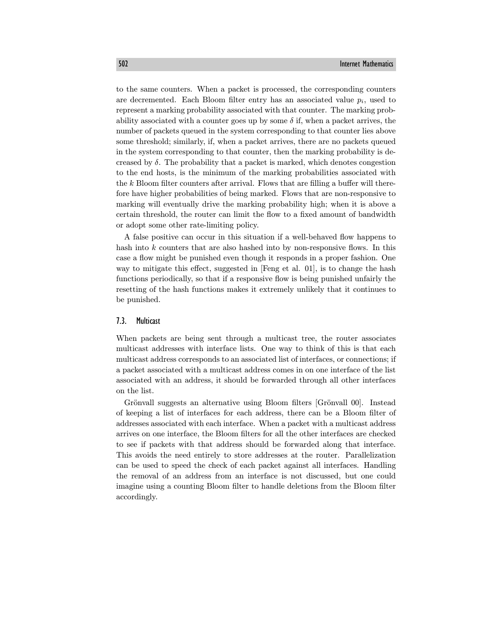to the same counters. When a packet is processed, the corresponding counters are decremented. Each Bloom filter entry has an associated value  $p_i$ , used to represent a marking probability associated with that counter. The marking probability associated with a counter goes up by some  $\delta$  if, when a packet arrives, the number of packets queued in the system corresponding to that counter lies above some threshold; similarly, if, when a packet arrives, there are no packets queued in the system corresponding to that counter, then the marking probability is decreased by  $\delta$ . The probability that a packet is marked, which denotes congestion to the end hosts, is the minimum of the marking probabilities associated with the k Bloom filter counters after arrival. Flows that are filling a buffer will therefore have higher probabilities of being marked. Flows that are non-responsive to marking will eventually drive the marking probability high; when it is above a certain threshold, the router can limit the flow to a fixed amount of bandwidth or adopt some other rate-limiting policy.

A false positive can occur in this situation if a well-behaved flow happens to hash into  $k$  counters that are also hashed into by non-responsive flows. In this case a flow might be punished even though it responds in a proper fashion. One way to mitigate this effect, suggested in [Feng et al. 01], is to change the hash functions periodically, so that if a responsive flow is being punished unfairly the resetting of the hash functions makes it extremely unlikely that it continues to be punished.

#### 7.3. Multicast

When packets are being sent through a multicast tree, the router associates multicast addresses with interface lists. One way to think of this is that each multicast address corresponds to an associated list of interfaces, or connections; if a packet associated with a multicast address comes in on one interface of the list associated with an address, it should be forwarded through all other interfaces on the list.

Grönvall suggests an alternative using Bloom filters [Grönvall 00]. Instead of keeping a list of interfaces for each address, there can be a Bloom filter of addresses associated with each interface. When a packet with a multicast address arrives on one interface, the Bloom filters for all the other interfaces are checked to see if packets with that address should be forwarded along that interface. This avoids the need entirely to store addresses at the router. Parallelization can be used to speed the check of each packet against all interfaces. Handling the removal of an address from an interface is not discussed, but one could imagine using a counting Bloom filter to handle deletions from the Bloom filter accordingly.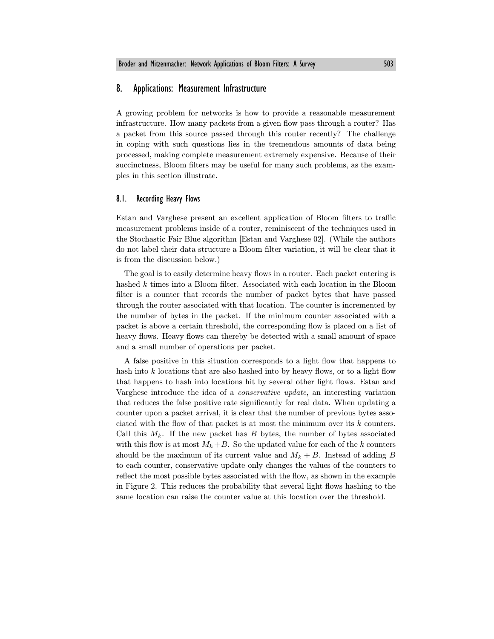# 8. Applications: Measurement Infrastructure

A growing problem for networks is how to provide a reasonable measurement infrastructure. How many packets from a given flow pass through a router? Has a packet from this source passed through this router recently? The challenge in coping with such questions lies in the tremendous amounts of data being processed, making complete measurement extremely expensive. Because of their succinctness, Bloom filters may be useful for many such problems, as the examples in this section illustrate.

## 8.1. Recording Heavy Flows

Estan and Varghese present an excellent application of Bloom filters to traffic measurement problems inside of a router, reminiscent of the techniques used in the Stochastic Fair Blue algorithm [Estan and Varghese 02]. (While the authors do not label their data structure a Bloom filter variation, it will be clear that it is from the discussion below.)

The goal is to easily determine heavy flows in a router. Each packet entering is hashed k times into a Bloom filter. Associated with each location in the Bloom filter is a counter that records the number of packet bytes that have passed through the router associated with that location. The counter is incremented by the number of bytes in the packet. If the minimum counter associated with a packet is above a certain threshold, the corresponding flow is placed on a list of heavy flows. Heavy flows can thereby be detected with a small amount of space and a small number of operations per packet.

A false positive in this situation corresponds to a light flow that happens to hash into  $k$  locations that are also hashed into by heavy flows, or to a light flow that happens to hash into locations hit by several other light flows. Estan and Varghese introduce the idea of a conservative update, an interesting variation that reduces the false positive rate significantly for real data. When updating a counter upon a packet arrival, it is clear that the number of previous bytes associated with the flow of that packet is at most the minimum over its k counters. Call this  $M_k$ . If the new packet has B bytes, the number of bytes associated with this flow is at most  $M_k + B$ . So the updated value for each of the k counters should be the maximum of its current value and  $M_k + B$ . Instead of adding B to each counter, conservative update only changes the values of the counters to reflect the most possible bytes associated with the flow, as shown in the example in Figure 2. This reduces the probability that several light flows hashing to the same location can raise the counter value at this location over the threshold.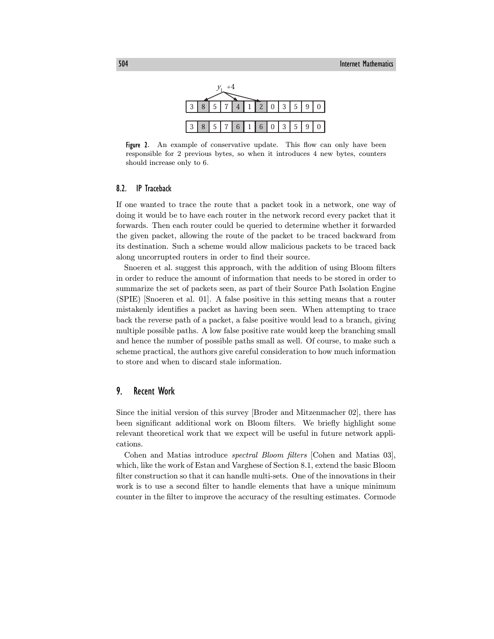

**Figure 2.** An example of conservative update. This flow can only have been responsible for 2 previous bytes, so when it introduces 4 new bytes, counters should increase only to 6.

## 8.2. IP Traceback

If one wanted to trace the route that a packet took in a network, one way of doing it would be to have each router in the network record every packet that it forwards. Then each router could be queried to determine whether it forwarded the given packet, allowing the route of the packet to be traced backward from its destination. Such a scheme would allow malicious packets to be traced back along uncorrupted routers in order to find their source.

Snoeren et al. suggest this approach, with the addition of using Bloom filters in order to reduce the amount of information that needs to be stored in order to summarize the set of packets seen, as part of their Source Path Isolation Engine (SPIE) [Snoeren et al. 01]. A false positive in this setting means that a router mistakenly identifies a packet as having been seen. When attempting to trace back the reverse path of a packet, a false positive would lead to a branch, giving multiple possible paths. A low false positive rate would keep the branching small and hence the number of possible paths small as well. Of course, to make such a scheme practical, the authors give careful consideration to how much information to store and when to discard stale information.

## 9. Recent Work

Since the initial version of this survey [Broder and Mitzenmacher 02], there has been significant additional work on Bloom filters. We briefly highlight some relevant theoretical work that we expect will be useful in future network applications.

Cohen and Matias introduce spectral Bloom filters [Cohen and Matias 03], which, like the work of Estan and Varghese of Section 8.1, extend the basic Bloom filter construction so that it can handle multi-sets. One of the innovations in their work is to use a second filter to handle elements that have a unique minimum counter in the filter to improve the accuracy of the resulting estimates. Cormode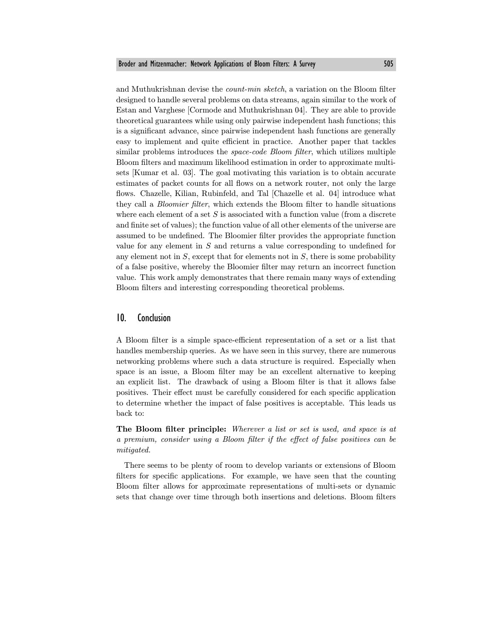and Muthukrishnan devise the count-min sketch, a variation on the Bloom filter designed to handle several problems on data streams, again similar to the work of Estan and Varghese [Cormode and Muthukrishnan 04]. They are able to provide theoretical guarantees while using only pairwise independent hash functions; this is a significant advance, since pairwise independent hash functions are generally easy to implement and quite efficient in practice. Another paper that tackles similar problems introduces the *space-code Bloom filter*, which utilizes multiple Bloom filters and maximum likelihood estimation in order to approximate multisets [Kumar et al. 03]. The goal motivating this variation is to obtain accurate estimates of packet counts for all flows on a network router, not only the large flows. Chazelle, Kilian, Rubinfeld, and Tal [Chazelle et al. 04] introduce what they call a Bloomier filter, which extends the Bloom filter to handle situations where each element of a set  $S$  is associated with a function value (from a discrete and finite set of values); the function value of all other elements of the universe are assumed to be undefined. The Bloomier filter provides the appropriate function value for any element in S and returns a value corresponding to undefined for any element not in  $S$ , except that for elements not in  $S$ , there is some probability of a false positive, whereby the Bloomier filter may return an incorrect function value. This work amply demonstrates that there remain many ways of extending Bloom filters and interesting corresponding theoretical problems.

## 10. Conclusion

A Bloom filter is a simple space-efficient representation of a set or a list that handles membership queries. As we have seen in this survey, there are numerous networking problems where such a data structure is required. Especially when space is an issue, a Bloom filter may be an excellent alternative to keeping an explicit list. The drawback of using a Bloom filter is that it allows false positives. Their effect must be carefully considered for each specific application to determine whether the impact of false positives is acceptable. This leads us back to:

The Bloom filter principle: Wherever a list or set is used, and space is at a premium, consider using a Bloom filter if the effect of false positives can be mitigated.

There seems to be plenty of room to develop variants or extensions of Bloom filters for specific applications. For example, we have seen that the counting Bloom filter allows for approximate representations of multi-sets or dynamic sets that change over time through both insertions and deletions. Bloom filters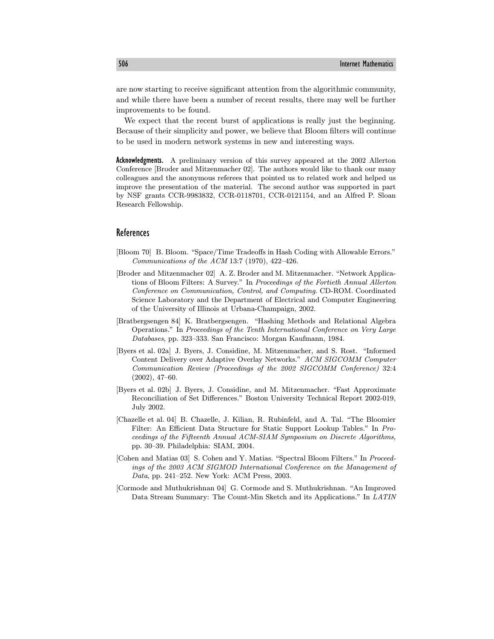are now starting to receive significant attention from the algorithmic community, and while there have been a number of recent results, there may well be further improvements to be found.

We expect that the recent burst of applications is really just the beginning. Because of their simplicity and power, we believe that Bloom filters will continue to be used in modern network systems in new and interesting ways.

**Acknowledgments.** A preliminary version of this survey appeared at the 2002 Allerton Conference [Broder and Mitzenmacher 02]. The authors would like to thank our many colleagues and the anonymous referees that pointed us to related work and helped us improve the presentation of the material. The second author was supported in part by NSF grants CCR-9983832, CCR-0118701, CCR-0121154, and an Alfred P. Sloan Research Fellowship.

## References

- [Bloom 70] B. Bloom. "Space/Time Tradeoffs in Hash Coding with Allowable Errors." Communications of the ACM 13:7 (1970), 422—426.
- [Broder and Mitzenmacher 02] A. Z. Broder and M. Mitzenmacher. "Network Applications of Bloom Filters: A Survey." In Proceedings of the Fortieth Annual Allerton Conference on Communication, Control, and Computing. CD-ROM. Coordinated Science Laboratory and the Department of Electrical and Computer Engineering of the University of Illinois at Urbana-Champaign, 2002.
- [Bratbergsengen 84] K. Bratbergsengen. "Hashing Methods and Relational Algebra Operations." In Proceedings of the Tenth International Conference on Very Large Databases, pp. 323—333. San Francisco: Morgan Kaufmann, 1984.
- [Byers et al. 02a] J. Byers, J. Considine, M. Mitzenmacher, and S. Rost. "Informed Content Delivery over Adaptive Overlay Networks." ACM SIGCOMM Computer Communication Review (Proceedings of the 2002 SIGCOMM Conference) 32:4 (2002), 47—60.
- [Byers et al. 02b] J. Byers, J. Considine, and M. Mitzenmacher. "Fast Approximate Reconciliation of Set Differences." Boston University Technical Report 2002-019, July 2002.
- [Chazelle et al. 04] B. Chazelle, J. Kilian, R. Rubinfeld, and A. Tal. "The Bloomier Filter: An Efficient Data Structure for Static Support Lookup Tables." In Proceedings of the Fifteenth Annual ACM-SIAM Symposium on Discrete Algorithms, pp. 30—39. Philadelphia: SIAM, 2004.
- [Cohen and Matias 03] S. Cohen and Y. Matias. "Spectral Bloom Filters." In Proceedings of the 2003 ACM SIGMOD International Conference on the Management of Data, pp. 241—252. New York: ACM Press, 2003.
- [Cormode and Muthukrishnan 04] G. Cormode and S. Muthukrishnan. "An Improved Data Stream Summary: The Count-Min Sketch and its Applications." In LATIN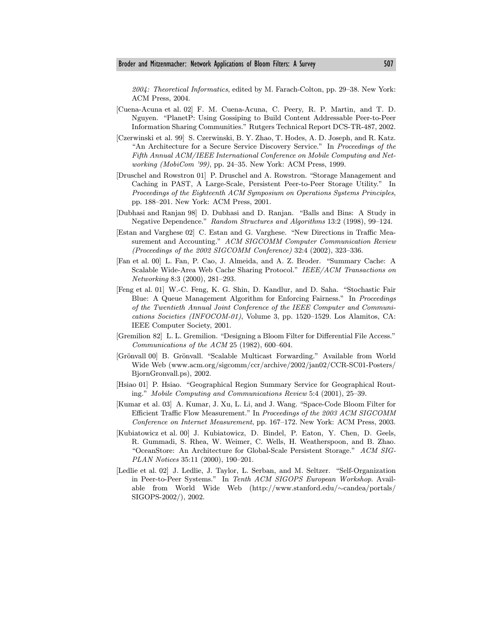2004: Theoretical Informatics, edited by M. Farach-Colton, pp. 29—38. New York: ACM Press, 2004.

- [Cuena-Acuna et al. 02] F. M. Cuena-Acuna, C. Peery, R. P. Martin, and T. D. Nguyen. "PlanetP: Using Gossiping to Build Content Addressable Peer-to-Peer Information Sharing Communities." Rutgers Technical Report DCS-TR-487, 2002.
- [Czerwinski et al. 99] S. Czerwinski, B. Y. Zhao, T. Hodes, A. D. Joseph, and R. Katz. "An Architecture for a Secure Service Discovery Service." In Proceedings of the Fifth Annual ACM/IEEE International Conference on Mobile Computing and Networking (MobiCom '99), pp. 24—35. New York: ACM Press, 1999.
- [Druschel and Rowstron 01] P. Druschel and A. Rowstron. "Storage Management and Caching in PAST, A Large-Scale, Persistent Peer-to-Peer Storage Utility." In Proceedings of the Eighteenth ACM Symposium on Operations Systems Principles, pp. 188—201. New York: ACM Press, 2001.
- [Dubhasi and Ranjan 98] D. Dubhasi and D. Ranjan. "Balls and Bins: A Study in Negative Dependence." Random Structures and Algorithms 13:2 (1998), 99—124.
- [Estan and Varghese 02] C. Estan and G. Varghese. "New Directions in Traffic Measurement and Accounting." ACM SIGCOMM Computer Communication Review (Proceedings of the 2002 SIGCOMM Conference) 32:4 (2002), 323—336.
- [Fan et al. 00] L. Fan, P. Cao, J. Almeida, and A. Z. Broder. "Summary Cache: A Scalable Wide-Area Web Cache Sharing Protocol." IEEE/ACM Transactions on Networking 8:3 (2000), 281—293.
- [Feng et al. 01] W.-C. Feng, K. G. Shin, D. Kandlur, and D. Saha. "Stochastic Fair Blue: A Queue Management Algorithm for Enforcing Fairness." In Proceedings of the Twentieth Annual Joint Conference of the IEEE Computer and Communications Societies (INFOCOM-01), Volume 3, pp. 1520—1529. Los Alamitos, CA: IEEE Computer Society, 2001.
- [Gremilion 82] L. L. Gremilion. "Designing a Bloom Filter for Differential File Access." Communications of the ACM 25 (1982), 600—604.
- [Grönvall 00] B. Grönvall. "Scalable Multicast Forwarding." Available from World Wide Web (www.acm.org/sigcomm/ccr/archive/2002/jan02/CCR-SC01-Posters/ BjornGronvall.ps), 2002.
- [Hsiao 01] P. Hsiao. "Geographical Region Summary Service for Geographical Routing." Mobile Computing and Communications Review 5:4 (2001), 25—39.
- [Kumar et al. 03] A. Kumar, J. Xu, L. Li, and J. Wang. "Space-Code Bloom Filter for Efficient Traffic Flow Measurement." In Proceedings of the 2003 ACM SIGCOMM Conference on Internet Measurement, pp. 167—172. New York: ACM Press, 2003.
- [Kubiatowicz et al. 00] J. Kubiatowicz, D. Bindel, P. Eaton, Y. Chen, D. Geels, R. Gummadi, S. Rhea, W. Weimer, C. Wells, H. Weatherspoon, and B. Zhao. "OceanStore: An Architecture for Global-Scale Persistent Storage." ACM SIG-PLAN Notices 35:11 (2000), 190—201.
- [Ledlie et al. 02] J. Ledlie, J. Taylor, L. Serban, and M. Seltzer. "Self-Organization in Peer-to-Peer Systems." In Tenth ACM SIGOPS European Workshop. Available from World Wide Web (http://www.stanford.edu/∼candea/portals/ SIGOPS-2002/), 2002.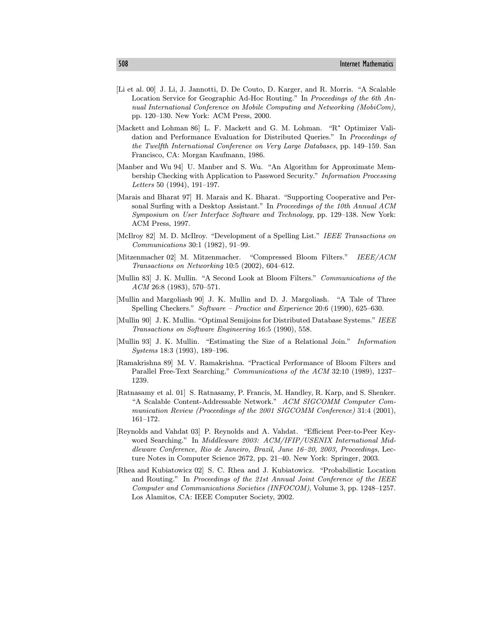- [Li et al. 00] J. Li, J. Jannotti, D. De Couto, D. Karger, and R. Morris. "A Scalable Location Service for Geographic Ad-Hoc Routing." In Proceedings of the 6th Annual International Conference on Mobile Computing and Networking (MobiCom), pp. 120—130. New York: ACM Press, 2000.
- [Mackett and Lohman 86] L. F. Mackett and G. M. Lohman. "R<sup>∗</sup> Optimizer Validation and Performance Evaluation for Distributed Queries." In Proceedings of the Twelfth International Conference on Very Large Databases, pp. 149—159. San Francisco, CA: Morgan Kaufmann, 1986.
- [Manber and Wu 94] U. Manber and S. Wu. "An Algorithm for Approximate Membership Checking with Application to Password Security." Information Processing Letters 50 (1994), 191—197.
- [Marais and Bharat 97] H. Marais and K. Bharat. "Supporting Cooperative and Personal Surfing with a Desktop Assistant." In Proceedings of the 10th Annual ACM Symposium on User Interface Software and Technology, pp. 129—138. New York: ACM Press, 1997.
- [McIlroy 82] M. D. McIlroy. "Development of a Spelling List." IEEE Transactions on Communications 30:1 (1982), 91—99.
- [Mitzenmacher 02] M. Mitzenmacher. "Compressed Bloom Filters." IEEE/ACM Transactions on Networking 10:5 (2002), 604—612.
- [Mullin 83] J. K. Mullin. "A Second Look at Bloom Filters." Communications of the ACM 26:8 (1983), 570—571.
- [Mullin and Margoliash 90] J. K. Mullin and D. J. Margoliash. "A Tale of Three Spelling Checkers." Software — Practice and Experience 20:6 (1990), 625—630.
- [Mullin 90] J. K. Mullin. "Optimal Semijoins for Distributed Database Systems." IEEE Transactions on Software Engineering 16:5 (1990), 558.
- [Mullin 93] J. K. Mullin. "Estimating the Size of a Relational Join." Information Systems 18:3 (1993), 189—196.
- [Ramakrishna 89] M. V. Ramakrishna. "Practical Performance of Bloom Filters and Parallel Free-Text Searching." Communications of the ACM 32:10 (1989), 1237— 1239.
- [Ratnasamy et al. 01] S. Ratnasamy, P. Francis, M. Handley, R. Karp, and S. Shenker. "A Scalable Content-Addressable Network." ACM SIGCOMM Computer Communication Review (Proceedings of the 2001 SIGCOMM Conference) 31:4 (2001), 161—172.
- [Reynolds and Vahdat 03] P. Reynolds and A. Vahdat. "Efficient Peer-to-Peer Keyword Searching." In Middleware 2003: ACM/IFIP/USENIX International Middleware Conference, Rio de Janeiro, Brazil, June 16—20, 2003, Proceedings, Lecture Notes in Computer Science 2672, pp. 21—40. New York: Springer, 2003.
- [Rhea and Kubiatowicz 02] S. C. Rhea and J. Kubiatowicz. "Probabilistic Location and Routing." In Proceedings of the 21st Annual Joint Conference of the IEEE Computer and Communications Societies (INFOCOM), Volume 3, pp. 1248—1257. Los Alamitos, CA: IEEE Computer Society, 2002.